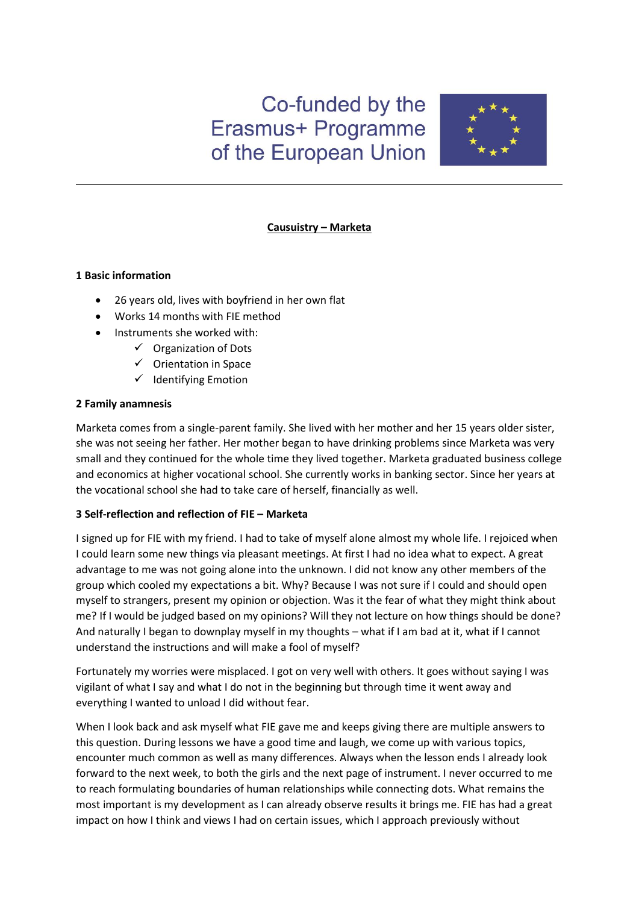# Co-funded by the Erasmus+ Programme of the European Union



# **Causuistry – Marketa**

# **1 Basic information**

- 26 years old, lives with boyfriend in her own flat
- Works 14 months with FIE method
- Instruments she worked with:
	- $\checkmark$  Organization of Dots
	- $\checkmark$  Orientation in Space
	- $\checkmark$  Identifying Emotion

# **2 Family anamnesis**

Marketa comes from a single-parent family. She lived with her mother and her 15 years older sister, she was not seeing her father. Her mother began to have drinking problems since Marketa was very small and they continued for the whole time they lived together. Marketa graduated business college and economics at higher vocational school. She currently works in banking sector. Since her years at the vocational school she had to take care of herself, financially as well.

# **3 Self-reflection and reflection of FIE – Marketa**

I signed up for FIE with my friend. I had to take of myself alone almost my whole life. I rejoiced when I could learn some new things via pleasant meetings. At first I had no idea what to expect. A great advantage to me was not going alone into the unknown. I did not know any other members of the group which cooled my expectations a bit. Why? Because I was not sure if I could and should open myself to strangers, present my opinion or objection. Was it the fear of what they might think about me? If I would be judged based on my opinions? Will they not lecture on how things should be done? And naturally I began to downplay myself in my thoughts – what if I am bad at it, what if I cannot understand the instructions and will make a fool of myself?

Fortunately my worries were misplaced. I got on very well with others. It goes without saying I was vigilant of what I say and what I do not in the beginning but through time it went away and everything I wanted to unload I did without fear.

When I look back and ask myself what FIE gave me and keeps giving there are multiple answers to this question. During lessons we have a good time and laugh, we come up with various topics, encounter much common as well as many differences. Always when the lesson ends I already look forward to the next week, to both the girls and the next page of instrument. I never occurred to me to reach formulating boundaries of human relationships while connecting dots. What remains the most important is my development as I can already observe results it brings me. FIE has had a great impact on how I think and views I had on certain issues, which I approach previously without